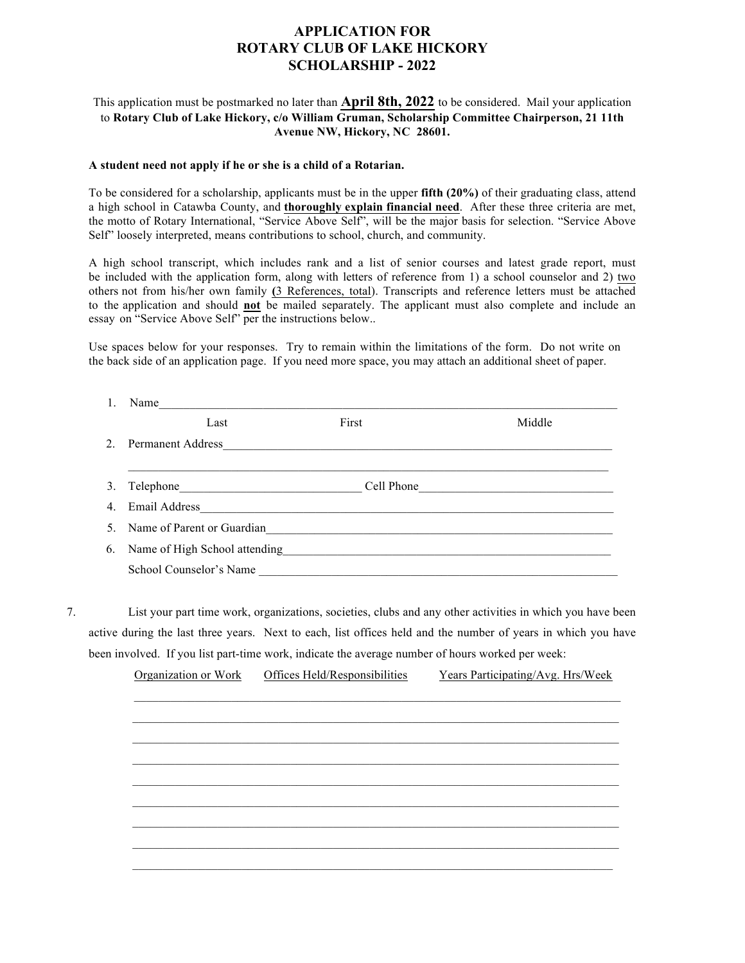## **APPLICATION FOR ROTARY CLUB OF LAKE HICKORY SCHOLARSHIP - 2022**

## This application must be postmarked no later than **April 8th, 2022** to be considered. Mail your application to **Rotary Club of Lake Hickory, c/o William Gruman, Scholarship Committee Chairperson, 21 11th Avenue NW, Hickory, NC 28601.**

## **A student need not apply if he or she is a child of a Rotarian.**

To be considered for a scholarship, applicants must be in the upper **fifth (20%)** of their graduating class, attend a high school in Catawba County, and **thoroughly explain financial need**. After these three criteria are met, the motto of Rotary International, "Service Above Self", will be the major basis for selection. "Service Above Self" loosely interpreted, means contributions to school, church, and community.

A high school transcript, which includes rank and a list of senior courses and latest grade report, must be included with the application form, along with letters of reference from 1) a school counselor and 2) two others not from his/her own family **(**3 References, total). Transcripts and reference letters must be attached to the application and should **not** be mailed separately. The applicant must also complete and include an essay on "Service Above Self" per the instructions below..

Use spaces below for your responses. Try to remain within the limitations of the form. Do not write on the back side of an application page. If you need more space, you may attach an additional sheet of paper.

|    | 1.                                                                                                                                                                                                                                                                                                                             | Name                                                                                                                                                |                                                          |                                   |  |  |
|----|--------------------------------------------------------------------------------------------------------------------------------------------------------------------------------------------------------------------------------------------------------------------------------------------------------------------------------|-----------------------------------------------------------------------------------------------------------------------------------------------------|----------------------------------------------------------|-----------------------------------|--|--|
|    |                                                                                                                                                                                                                                                                                                                                | Last                                                                                                                                                | First                                                    | Middle                            |  |  |
|    | $\overline{2}$ .                                                                                                                                                                                                                                                                                                               | Permanent Address                                                                                                                                   | <u> 1989 - Johann Barbara, martxa amerikan bashkar (</u> |                                   |  |  |
|    | 3.                                                                                                                                                                                                                                                                                                                             |                                                                                                                                                     |                                                          |                                   |  |  |
|    | $\overline{4}$ .                                                                                                                                                                                                                                                                                                               |                                                                                                                                                     |                                                          |                                   |  |  |
|    | 5                                                                                                                                                                                                                                                                                                                              | Name of Parent or Guardian<br><u> 1989 - Johann Stoff, deutscher Stoffen und der Stoffen und der Stoffen und der Stoffen und der Stoffen und de</u> |                                                          |                                   |  |  |
|    | 6.                                                                                                                                                                                                                                                                                                                             | Name of High School attending<br><u>Leadenborne and</u> the state of High School attending                                                          |                                                          |                                   |  |  |
|    |                                                                                                                                                                                                                                                                                                                                |                                                                                                                                                     | School Counselor's Name                                  |                                   |  |  |
| 7. | List your part time work, organizations, societies, clubs and any other activities in which you have been<br>active during the last three years. Next to each, list offices held and the number of years in which you have<br>been involved. If you list part-time work, indicate the average number of hours worked per week: |                                                                                                                                                     |                                                          |                                   |  |  |
|    |                                                                                                                                                                                                                                                                                                                                | Organization or Work                                                                                                                                | Offices Held/Responsibilities                            | Years Participating/Avg. Hrs/Week |  |  |
|    |                                                                                                                                                                                                                                                                                                                                |                                                                                                                                                     |                                                          |                                   |  |  |
|    |                                                                                                                                                                                                                                                                                                                                |                                                                                                                                                     |                                                          |                                   |  |  |
|    |                                                                                                                                                                                                                                                                                                                                |                                                                                                                                                     |                                                          |                                   |  |  |